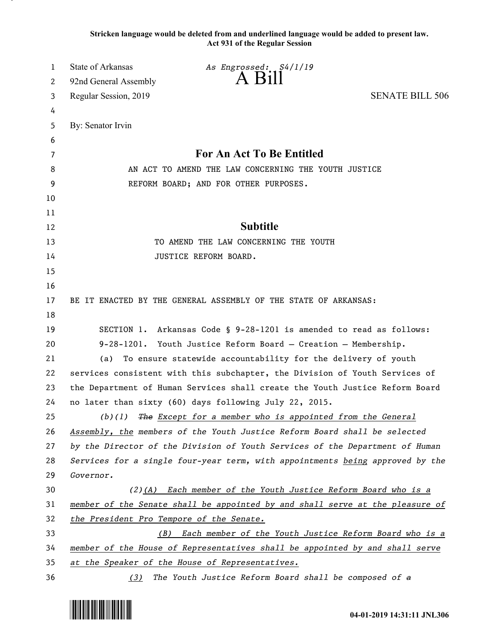**Stricken language would be deleted from and underlined language would be added to present law. Act 931 of the Regular Session**

| 1  | <b>State of Arkansas</b>                                                      | As Engrossed: S4/1/19                                                         |                        |  |
|----|-------------------------------------------------------------------------------|-------------------------------------------------------------------------------|------------------------|--|
| 2  | 92nd General Assembly                                                         | $A$ $B1II$                                                                    |                        |  |
| 3  | Regular Session, 2019                                                         |                                                                               | <b>SENATE BILL 506</b> |  |
| 4  |                                                                               |                                                                               |                        |  |
| 5  | By: Senator Irvin                                                             |                                                                               |                        |  |
| 6  |                                                                               |                                                                               |                        |  |
| 7  | <b>For An Act To Be Entitled</b>                                              |                                                                               |                        |  |
| 8  | AN ACT TO AMEND THE LAW CONCERNING THE YOUTH JUSTICE                          |                                                                               |                        |  |
| 9  | REFORM BOARD; AND FOR OTHER PURPOSES.                                         |                                                                               |                        |  |
| 10 |                                                                               |                                                                               |                        |  |
| 11 |                                                                               |                                                                               |                        |  |
| 12 |                                                                               | <b>Subtitle</b>                                                               |                        |  |
| 13 |                                                                               | TO AMEND THE LAW CONCERNING THE YOUTH                                         |                        |  |
| 14 |                                                                               | JUSTICE REFORM BOARD.                                                         |                        |  |
| 15 |                                                                               |                                                                               |                        |  |
| 16 |                                                                               |                                                                               |                        |  |
| 17 |                                                                               | BE IT ENACTED BY THE GENERAL ASSEMBLY OF THE STATE OF ARKANSAS:               |                        |  |
| 18 |                                                                               |                                                                               |                        |  |
| 19 |                                                                               | SECTION 1. Arkansas Code § 9-28-1201 is amended to read as follows:           |                        |  |
| 20 | $9 - 28 - 1201$ .<br>Youth Justice Reform Board - Creation - Membership.      |                                                                               |                        |  |
| 21 | To ensure statewide accountability for the delivery of youth<br>(a)           |                                                                               |                        |  |
| 22 | services consistent with this subchapter, the Division of Youth Services of   |                                                                               |                        |  |
| 23 | the Department of Human Services shall create the Youth Justice Reform Board  |                                                                               |                        |  |
| 24 |                                                                               | no later than sixty (60) days following July 22, 2015.                        |                        |  |
| 25 | (b)(1)                                                                        | The Except for a member who is appointed from the General                     |                        |  |
| 26 |                                                                               | Assembly, the members of the Youth Justice Reform Board shall be selected     |                        |  |
| 27 |                                                                               | by the Director of the Division of Youth Services of the Department of Human  |                        |  |
| 28 |                                                                               | Services for a single four-year term, with appointments being approved by the |                        |  |
| 29 | Governor.                                                                     |                                                                               |                        |  |
| 30 |                                                                               | $(2)(A)$ Each member of the Youth Justice Reform Board who is a               |                        |  |
| 31 | member of the Senate shall be appointed by and shall serve at the pleasure of |                                                                               |                        |  |
| 32 | the President Pro Tempore of the Senate.                                      |                                                                               |                        |  |
| 33 | (B)                                                                           | Each member of the Youth Justice Reform Board who is a                        |                        |  |
| 34 |                                                                               | member of the House of Representatives shall be appointed by and shall serve  |                        |  |
| 35 | at the Speaker of the House of Representatives.                               |                                                                               |                        |  |
| 36 | The Youth Justice Reform Board shall be composed of a<br>(3)                  |                                                                               |                        |  |

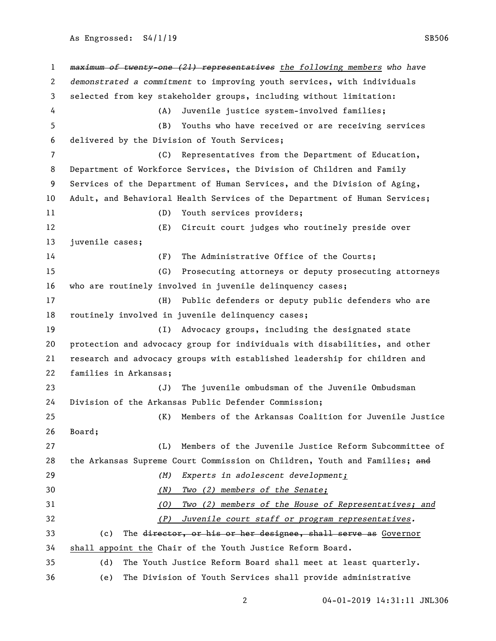As Engrossed: S4/1/19 SB506

 *maximum of twenty-one (21) representatives the following members who have demonstrated a commitment* to improving youth services, with individuals selected from key stakeholder groups, including without limitation: (A) Juvenile justice system-involved families; (B) Youths who have received or are receiving services delivered by the Division of Youth Services; (C) Representatives from the Department of Education, Department of Workforce Services, the Division of Children and Family Services of the Department of Human Services, and the Division of Aging, Adult, and Behavioral Health Services of the Department of Human Services; 11 (D) Youth services providers; (E) Circuit court judges who routinely preside over juvenile cases; (F) The Administrative Office of the Courts; (G) Prosecuting attorneys or deputy prosecuting attorneys who are routinely involved in juvenile delinquency cases; (H) Public defenders or deputy public defenders who are routinely involved in juvenile delinquency cases; (I) Advocacy groups, including the designated state protection and advocacy group for individuals with disabilities, and other research and advocacy groups with established leadership for children and families in Arkansas; (J) The juvenile ombudsman of the Juvenile Ombudsman Division of the Arkansas Public Defender Commission; (K) Members of the Arkansas Coalition for Juvenile Justice Board; (L) Members of the Juvenile Justice Reform Subcommittee of 28 the Arkansas Supreme Court Commission on Children, Youth and Families; and *(M) Experts in adolescent development; (N) Two (2) members of the Senate; (O) Two (2) members of the House of Representatives; and (P) Juvenile court staff or program representatives.* (c) The director, or his or her designee, shall serve as Governor shall appoint the Chair of the Youth Justice Reform Board. (d) The Youth Justice Reform Board shall meet at least quarterly. (e) The Division of Youth Services shall provide administrative

04-01-2019 14:31:11 JNL306